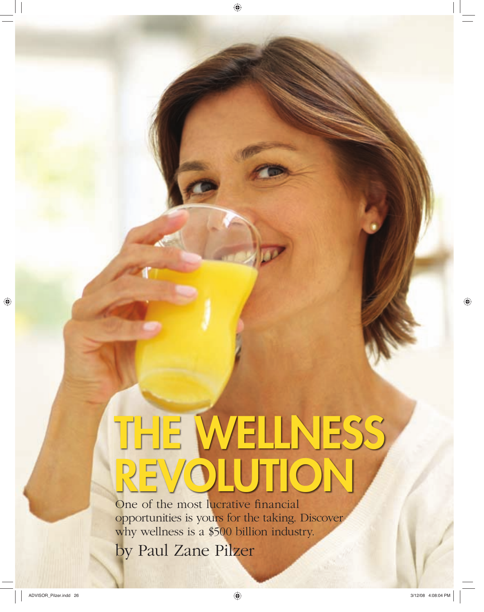# **THE WELLNESS REVOLUTION**

One of the most lucrative financial opportunities is yours for the taking. Discover why wellness is a \$500 billion industry.

**26** *by Paul Zane Pilzer*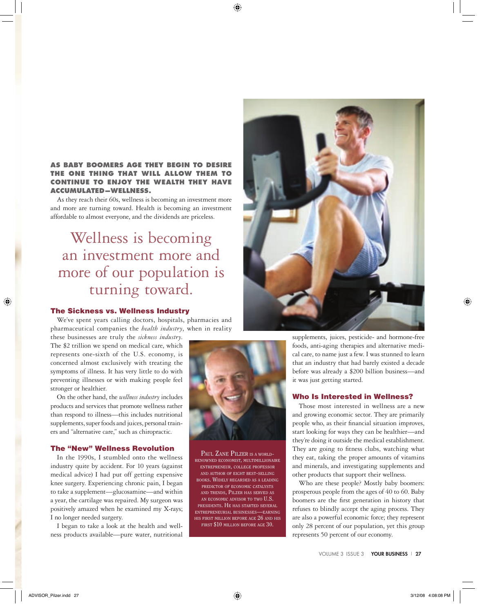## **AS BABY BOOMERS AGE THEY BEGIN THE ONE THING THAT WILL ALLOW THEM TO CONTINUE TO ENJOY THE WEALTH THEY HAVE ACCUMULATED—WELLNESS.**

As they reach their 60s, wellness is becoming an investment more and more are turning toward. Health is becoming an investment affordable to almost everyone, and the dividends are priceless.

# Wellness is becoming an investment more and more of our population is turning toward.

#### **The Sickness vs. Wellness Industry**

We've spent years calling doctors, hospitals, pharmacies and pharmaceutical companies the *health industry*, when in reality

these businesses are truly the *sickness industry*. The \$2 trillion we spend on medical care, which represents one-sixth of the U.S. economy, is concerned almost exclusively with treating the symptoms of illness. It has very little to do with preventing illnesses or with making people feel stronger or healthier.

On the other hand, the *wellness industry* includes products and services that promote wellness rather than respond to illness—this includes nutritional supplements, super foods and juices, personal trainers and "alternative care," such as chiropractic.

#### **The "New" Wellness Revolution**

In the 1990s, I stumbled onto the wellness industry quite by accident. For 10 years (against medical advice) I had put off getting expensive knee surgery. Experiencing chronic pain, I began to take a supplement—glucosamine—and within a year, the cartilage was repaired. My surgeon was positively amazed when he examined my X-rays; I no longer needed surgery.

I began to take a look at the health and wellness products available—pure water, nutritional



PAUL ZANE PILZER IS A WORLD-RENOWNED ECONOMIST, MULTIMILLIONAIRE ENTREPRENEUR, COLLEGE PROFESSOR AND AUTHOR OF EIGHT BEST-SELLING BOOKS. WIDELY REGARDED AS <sup>A</sup> LEADING PREDICTOR OF ECONOMIC CATALYSTS AND TRENDS, PILZER HAS SERVED AS AN ECONOMIC ADVISOR TO TWO U.S. PRESIDENTS. HE HAS STARTED SEVERAL ENTREPRENEURIAL BUSINESSES—EARNING HIS FIRST MILLION BEFORE AGE 26 AND HIS FIRST \$10 MILLION BEFORE AGE 30.



supplements, juices, pesticide- and hormone-free foods, anti-aging therapies and alternative medical care, to name just a few. I was stunned to learn that an industry that had barely existed a decade before was already a \$200 billion business—and it was just getting started.

#### **Who Is Interested in Wellness?**

Those most interested in wellness are a new and growing economic sector. They are primarily people who, as their financial situation improves, start looking for ways they can be healthier—and they're doing it outside the medical establishment. They are going to fitness clubs, watching what they eat, taking the proper amounts of vitamins and minerals, and investigating supplements and other products that support their wellness.

Who are these people? Mostly baby boomers: prosperous people from the ages of 40 to 60. Baby boomers are the first generation in history that refuses to blindly accept the aging process. They are also a powerful economic force; they represent only 28 percent of our population, yet this group represents 50 percent of our economy.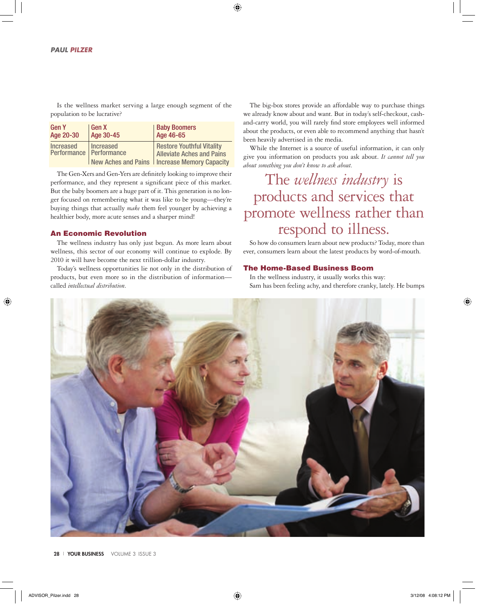Is the wellness market serving a large enough segment of the population to be lucrative?

| <b>Gen Y</b>                                  | Gen X     | <b>Baby Boomers</b>                                                                                                    |
|-----------------------------------------------|-----------|------------------------------------------------------------------------------------------------------------------------|
| Age 20-30                                     | Age 30-45 | Age 46-65                                                                                                              |
| <b>Increased</b><br>Performance   Performance | Increased | <b>Restore Youthful Vitality</b><br><b>Alleviate Aches and Pains</b><br>New Aches and Pains   Increase Memory Capacity |

The Gen-Xers and Gen-Yers are definitely looking to improve their performance, and they represent a significant piece of this market. But the baby boomers are a huge part of it. This generation is no longer focused on remembering what it was like to be young—they're buying things that actually *make* them feel younger by achieving a healthier body, more acute senses and a sharper mind!

## **An Economic Revolution**

The wellness industry has only just begun. As more learn about wellness, this sector of our economy will continue to explode. By 2010 it will have become the next trillion-dollar industry.

Today's wellness opportunities lie not only in the distribution of products, but even more so in the distribution of information called *intellectual distribution*.

The big-box stores provide an affordable way to purchase things we already know about and want. But in today's self-checkout, cashand-carry world, you will rarely find store employees well informed about the products, or even able to recommend anything that hasn't been heavily advertised in the media.

While the Internet is a source of useful information, it can only give you information on products you ask about. *It cannot tell you about something you don't know to ask about*.

## The *wellness industry* is products and services that promote wellness rather than respond to illness.

So how do consumers learn about new products? Today, more than ever, consumers learn about the latest products by word-of-mouth.

## **The Home-Based Business Boom**

In the wellness industry, it usually works this way: Sam has been feeling achy, and therefore cranky, lately. He bumps